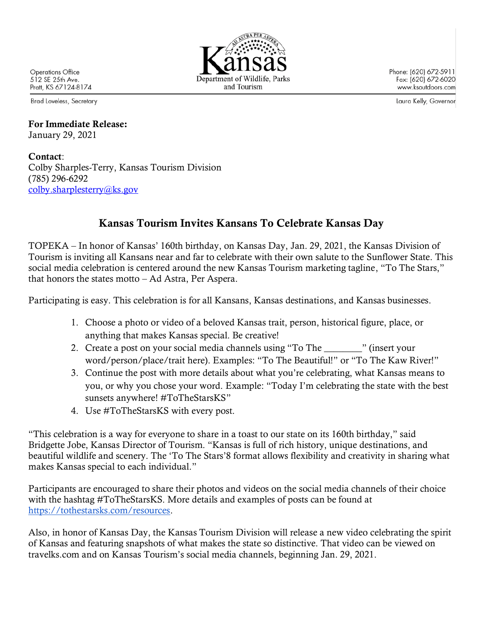Operations Office 512 SE 25th Ave. Pratt, KS 67124-8174

Brad Loveless, Secretary

## For Immediate Release: January 29, 2021

## Contact: Colby Sharples-Terry, Kansas Tourism Division (785) 296-6292 [colby.sharplesterry@ks.gov](mailto:colby.sharplesterry@ks.gov)

## Kansas Tourism Invites Kansans To Celebrate Kansas Day

TOPEKA – In honor of Kansas' 160th birthday, on Kansas Day, Jan. 29, 2021, the Kansas Division of Tourism is inviting all Kansans near and far to celebrate with their own salute to the Sunflower State. This social media celebration is centered around the new Kansas Tourism marketing tagline, "To The Stars," that honors the states motto – Ad Astra, Per Aspera.

Participating is easy. This celebration is for all Kansans, Kansas destinations, and Kansas businesses.

- 1. Choose a photo or video of a beloved Kansas trait, person, historical figure, place, or anything that makes Kansas special. Be creative!
- 2. Create a post on your social media channels using "To The "" (insert your word/person/place/trait here). Examples: "To The Beautiful!" or "To The Kaw River!"
- 3. Continue the post with more details about what you're celebrating, what Kansas means to you, or why you chose your word. Example: "Today I'm celebrating the state with the best sunsets anywhere! #ToTheStarsKS"
- 4. Use #ToTheStarsKS with every post.

"This celebration is a way for everyone to share in a toast to our state on its 160th birthday," said Bridgette Jobe, Kansas Director of Tourism. "Kansas is full of rich history, unique destinations, and beautiful wildlife and scenery. The 'To The Stars'8 format allows flexibility and creativity in sharing what makes Kansas special to each individual."

Participants are encouraged to share their photos and videos on the social media channels of their choice with the hashtag #ToTheStarsKS. More details and examples of posts can be found at [https://tothestarsks.com/resources.](https://tothestarsks.com/resources)

Also, in honor of Kansas Day, the Kansas Tourism Division will release a new video celebrating the spirit of Kansas and featuring snapshots of what makes the state so distinctive. That video can be viewed on travelks.com and on Kansas Tourism's social media channels, beginning Jan. 29, 2021.



Phone: (620) 672-5911 Fax: (620) 672-6020 www.ksoutdoors.com

Laura Kelly, Governor